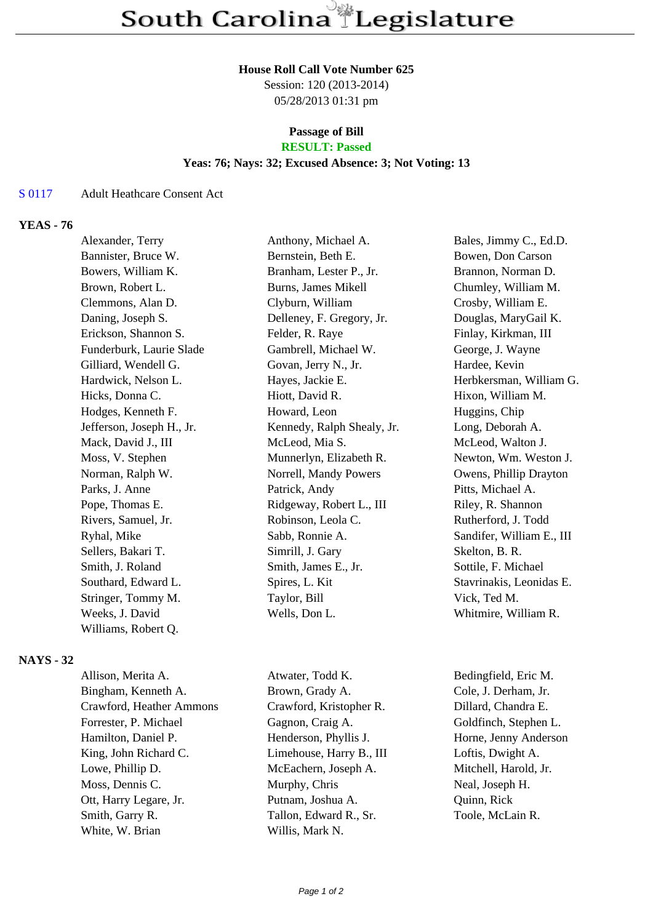## **House Roll Call Vote Number 625**

Session: 120 (2013-2014) 05/28/2013 01:31 pm

# **Passage of Bill**

## **RESULT: Passed**

#### **Yeas: 76; Nays: 32; Excused Absence: 3; Not Voting: 13**

#### S 0117 Adult Heathcare Consent Act

## **YEAS - 76**

| Alexander, Terry          | Anthony, Michael A.        | Bales, Jimmy C., Ed.D.    |
|---------------------------|----------------------------|---------------------------|
| Bannister, Bruce W.       | Bernstein, Beth E.         | Bowen, Don Carson         |
| Bowers, William K.        | Branham, Lester P., Jr.    | Brannon, Norman D.        |
| Brown, Robert L.          | Burns, James Mikell        | Chumley, William M.       |
| Clemmons, Alan D.         | Clyburn, William           | Crosby, William E.        |
| Daning, Joseph S.         | Delleney, F. Gregory, Jr.  | Douglas, MaryGail K.      |
| Erickson, Shannon S.      | Felder, R. Raye            | Finlay, Kirkman, III      |
| Funderburk, Laurie Slade  | Gambrell, Michael W.       | George, J. Wayne          |
| Gilliard, Wendell G.      | Govan, Jerry N., Jr.       | Hardee, Kevin             |
| Hardwick, Nelson L.       | Hayes, Jackie E.           | Herbkersman, William G.   |
| Hicks, Donna C.           | Hiott, David R.            | Hixon, William M.         |
| Hodges, Kenneth F.        | Howard, Leon               | Huggins, Chip             |
| Jefferson, Joseph H., Jr. | Kennedy, Ralph Shealy, Jr. | Long, Deborah A.          |
| Mack, David J., III       | McLeod, Mia S.             | McLeod, Walton J.         |
| Moss, V. Stephen          | Munnerlyn, Elizabeth R.    | Newton, Wm. Weston J.     |
| Norman, Ralph W.          | Norrell, Mandy Powers      | Owens, Phillip Drayton    |
| Parks, J. Anne            | Patrick, Andy              | Pitts, Michael A.         |
| Pope, Thomas E.           | Ridgeway, Robert L., III   | Riley, R. Shannon         |
| Rivers, Samuel, Jr.       | Robinson, Leola C.         | Rutherford, J. Todd       |
| Ryhal, Mike               | Sabb, Ronnie A.            | Sandifer, William E., III |
| Sellers, Bakari T.        | Simrill, J. Gary           | Skelton, B. R.            |
| Smith, J. Roland          | Smith, James E., Jr.       | Sottile, F. Michael       |
| Southard, Edward L.       | Spires, L. Kit             | Stavrinakis, Leonidas E.  |
| Stringer, Tommy M.        | Taylor, Bill               | Vick, Ted M.              |
| Weeks, J. David           | Wells, Don L.              | Whitmire, William R.      |
| Williams, Robert Q.       |                            |                           |
|                           |                            |                           |

## **NAYS - 32**

| Atwater, Todd K.         | Bedingfield, Eric M.  |
|--------------------------|-----------------------|
| Brown, Grady A.          | Cole, J. Derham, Jr.  |
| Crawford, Kristopher R.  | Dillard, Chandra E.   |
| Gagnon, Craig A.         | Goldfinch, Stephen L. |
| Henderson, Phyllis J.    | Horne, Jenny Anderson |
| Limehouse, Harry B., III | Loftis, Dwight A.     |
| McEachern, Joseph A.     | Mitchell, Harold, Jr. |
| Murphy, Chris            | Neal, Joseph H.       |
| Putnam, Joshua A.        | Quinn, Rick           |
| Tallon, Edward R., Sr.   | Toole, McLain R.      |
| Willis, Mark N.          |                       |
|                          |                       |